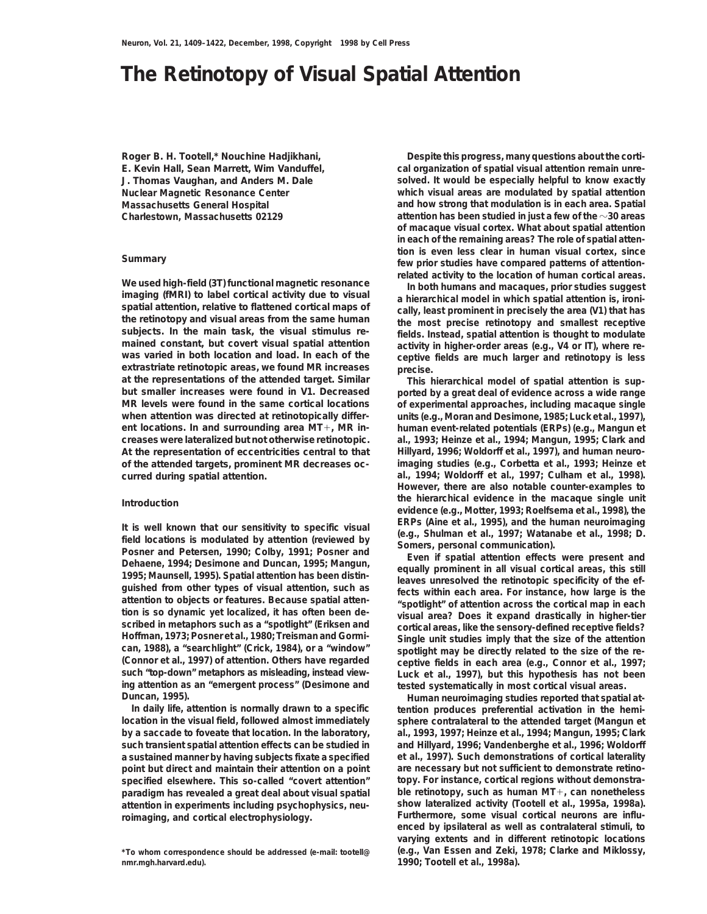# **The Retinotopy of Visual Spatial Attention**

We used high-field (3T) functional magnetic resonance<br>
imaging (fMRI) to label cortical activity due to visual<br>
spatial attention, relative to flattened cortical maps of<br>
spatial attention is, ironically, least prominent i **extrastriate retinotopic areas, we found MR increases** precise.<br>at the representations of the attended target. Similar This has **at the representations of the attended target. Similar This hierarchical model of spatial attention is sup-MR levels were found in the same cortical locations of experimental approaches, including macaque single when attention was directed at retinotopically differ- units (e.g., Moran and Desimone, 1985; Luck et al., 1997), ent locations. In and surrounding area MT**1**, MR in- human event-related potentials (ERPs) (e.g., Mangun et creases were lateralized but not otherwise retinotopic. al., 1993; Heinze et al., 1994; Mangun, 1995; Clark and At the representation of eccentricities central to that Hillyard, 1996; Woldorff et al., 1997), and human neuroof the attended targets, prominent MR decreases oc- imaging studies (e.g., Corbetta et al., 1993; Heinze et curred during spatial attention. al., 1994; Woldorff et al., 1997; Culham et al., 1998).**

It is well known that our sensitivity to specific visual<br>field locations is modulated by attention (reviewed by<br>Posner and Petersen, 1990; Colby, 1991; Posner and<br>Dehaene, 1990; Colby, 1991; Posner and<br>Dehaene, 1990; Colby **such "top-down" metaphors as misleading, instead view- Luck et al., 1997), but this hypothesis has not been**

**location in the visual field, followed almost immediately sphere contralateral to the attended target (Mangun et by a saccade to foveate that location. In the laboratory, al., 1993, 1997; Heinze et al., 1994; Mangun, 1995; Clark such transient spatial attention effects can be studied in and Hillyard, 1996; Vandenberghe et al., 1996; Woldorff a sustained manner by having subjects fixate a specified et al., 1997). Such demonstrations of cortical laterality point but direct and maintain their attention on a point are necessary but not sufficient to demonstrate retinospecified elsewhere. This so-called "covert attention" topy. For instance, cortical regions without demonstraparadigm has revealed a great deal about visual spatial ble retinotopy, such as human MT**1**, can nonetheless attention in experiments including psychophysics, neu- show lateralized activity (Tootell et al., 1995a, 1998a).**

**nmr.mgh.harvard.edu). 1990; Tootell et al., 1998a).**

**Roger B. H. Tootell,\* Nouchine Hadjikhani, Despite this progress, many questions about the corti-E. Kevin Hall, Sean Marrett, Wim Vanduffel, cal organization of spatial visual attention remain unre-J. Thomas Vaughan, and Anders M. Dale solved. It would be especially helpful to know exactly Nuclear Magnetic Resonance Center which visual areas are modulated by spatial attention Massachusetts General Hospital and how strong that modulation is in each area. Spatial Charlestown, Massachusetts 02129 attention has been studied in just a few of the**  $\sim$ **30 areas of macaque visual cortex. What about spatial attention in each of the remaining areas? The role of spatial attention is even less clear in human visual cortex, since Summary few prior studies have compared patterns of attention-**

**but space by a great deal of evidence across a wide range However, there are also notable counter-examples to the hierarchical evidence in the macaque single unit Introduction evidence (e.g., Motter, 1993; Roelfsema et al., 1998), the**

tested systematically in most cortical visual areas.

**Duncan, 1995). Human neuroimaging studies reported that spatial at-In daily life, attention is normally drawn to a specific tention produces preferential activation in the hemi-Furthermore, some visual cortical neurons are influ- roimaging, and cortical electrophysiology. enced by ipsilateral as well as contralateral stimuli, to varying extents and in different retinotopic locations \* To whom correspondence should be addressed (e-mail: tootell@ (e.g., Van Essen and Zeki, 1978; Clarke and Miklossy,**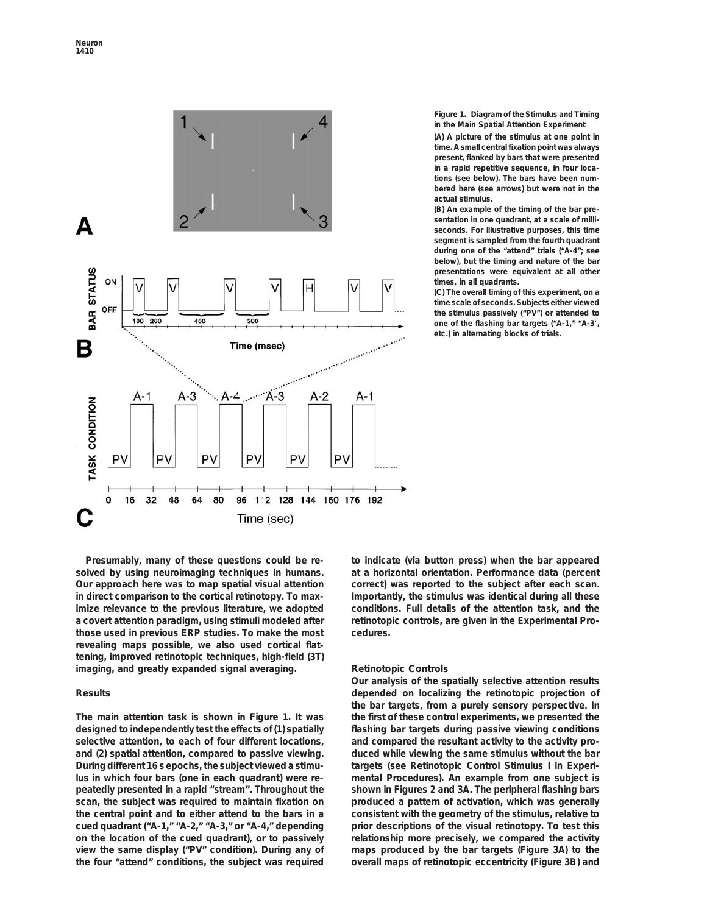

**Figure 1. Diagram of the Stimulus and Timing in the Main Spatial Attention Experiment**

**(A) A picture of the stimulus at one point in time. A small central fixation point was always present, flanked by bars that were presented in a rapid repetitive sequence, in four locations (see below). The bars have been numbered here (see arrows) but were not in the actual stimulus.**

**(B) An example of the timing of the bar presentation in one quadrant, at a scale of milliseconds. For illustrative purposes, this time segment is sampled from the fourth quadrant during one of the "attend" trials ("A-4"; see below), but the timing and nature of the bar presentations were equivalent at all other times, in all quadrants.**

**(C) The overall timing of this experiment, on a time scale of seconds. Subjects either viewed the stimulus passively ("PV") or attended to** one of the flashing bar targets ("A-1," "A-3', **etc.) in alternating blocks of trials.**

**solved by using neuroimaging techniques in humans. at a horizontal orientation. Performance data (percent Our approach here was to map spatial visual attention correct) was reported to the subject after each scan. in direct comparison to the cortical retinotopy. To max- Importantly, the stimulus was identical during all these imize relevance to the previous literature, we adopted conditions. Full details of the attention task, and the a covert attention paradigm, using stimuli modeled after retinotopic controls, are given in the Experimental Prothose used in previous ERP studies. To make the most cedures. revealing maps possible, we also used cortical flattening, improved retinotopic techniques, high-field (3T) imaging, and greatly expanded signal averaging. <br>Retinotopic Controls** 

**The main attention task is shown in Figure 1. It was the first of these control experiments, we presented the designed to independently test the effects of (1) spatially flashing bar targets during passive viewing conditions selective attention, to each of four different locations, and compared the resultant activity to the activity proand (2) spatial attention, compared to passive viewing. duced while viewing the same stimulus without the bar During different 16 s epochs, the subject viewed a stimu- targets (see Retinotopic Control Stimulus I in Experilus in which four bars (one in each quadrant) were re- mental Procedures). An example from one subject is peatedly presented in a rapid "stream". Throughout the shown in Figures 2 and 3A. The peripheral flashing bars scan, the subject was required to maintain fixation on produced a pattern of activation, which was generally the central point and to either attend to the bars in a consistent with the geometry of the stimulus, relative to cued quadrant ("A-1," "A-2," "A-3," or "A-4," depending prior descriptions of the visual retinotopy. To test this on the location of the cued quadrant), or to passively relationship more precisely, we compared the activity view the same display ("PV" condition). During any of maps produced by the bar targets (Figure 3A) to the the four "attend" conditions, the subject was required overall maps of retinotopic eccentricity (Figure 3B) and**

**Presumably, many of these questions could be re- to indicate (via button press) when the bar appeared**

**Our analysis of the spatially selective attention results Results depended on localizing the retinotopic projection of the bar targets, from a purely sensory perspective. In**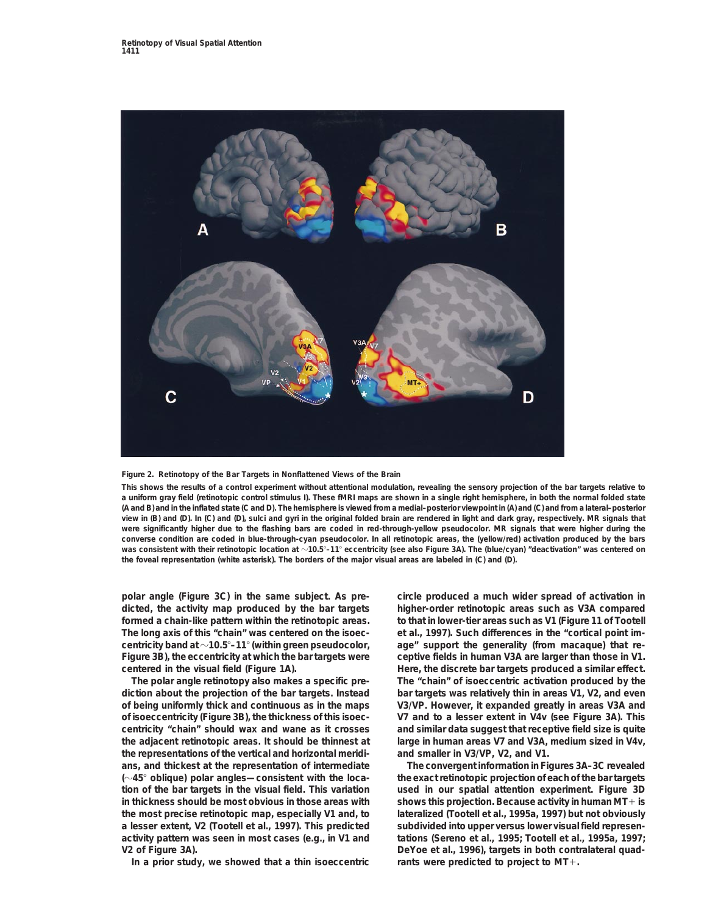



**This shows the results of a control experiment without attentional modulation, revealing the sensory projection of the bar targets relative to a uniform gray field (retinotopic control stimulus I). These fMRI maps are shown in a single right hemisphere, in both the normal folded state (A and B) and in the inflated state (C and D). The hemisphere is viewed from a medial–posterior viewpoint in (A) and (C) and from a lateral–posterior view in (B) and (D). In (C) and (D), sulci and gyri in the original folded brain are rendered in light and dark gray, respectively. MR signals that were significantly higher due to the flashing bars are coded in red-through-yellow pseudocolor. MR signals that were higher during the converse condition are coded in blue-through-cyan pseudocolor. In all retinotopic areas, the (yellow/red) activation produced by the bars** was consistent with their retinotopic location at  $\sim$ 10.5 $\degree$ -11 $\degree$  eccentricity (see also Figure 3A). The (blue/cyan) "deactivation" was centered on **the foveal representation (white asterisk). The borders of the major visual areas are labeled in (C) and (D).**

**the representations of the vertical and horizontal meridi- and smaller in V3/VP, V2, and V1. ans, and thickest at the representation of intermediate The convergent information in Figures 3A–3C revealed (**z**45**8 **oblique) polar angles—consistent with the loca- the exact retinotopic projection of each of the bar targets tion of the bar targets in the visual field. This variation used in our spatial attention experiment. Figure 3D in thickness should be most obvious in those areas with shows this projection. Because activity in human MT**1 **is the most precise retinotopic map, especially V1 and, to lateralized (Tootell et al., 1995a, 1997) but not obviously a lesser extent, V2 (Tootell et al., 1997). This predicted subdivided into upper versus lower visual field represenactivity pattern was seen in most cases (e.g., in V1 and tations (Sereno et al., 1995; Tootell et al., 1995a, 1997; V2 of Figure 3A). DeYoe et al., 1996), targets in both contralateral quad-**

In a prior study, we showed that a thin isoeccentric rants were predicted to project to MT<sup>+</sup>.

**polar angle (Figure 3C) in the same subject. As pre- circle produced a much wider spread of activation in dicted, the activity map produced by the bar targets higher-order retinotopic areas such as V3A compared formed a chain-like pattern within the retinotopic areas. to that in lower-tier areas such as V1 (Figure 11 of Tootell The long axis of this "chain" was centered on the isoec- et al., 1997). Such differences in the "cortical point im**centricity band at ~10.5°-11° (within green pseudocolor, age" support the generality (from macaque) that re-**Figure 3B), the eccentricity at which the bar targets were ceptive fields in human V3A are larger than those in V1.** centered in the visual field (Figure 1A). Here, the discrete bar targets produced a similar effect. **The polar angle retinotopy also makes a specific pre- The "chain" of isoeccentric activation produced by the diction about the projection of the bar targets. Instead bar targets was relatively thin in areas V1, V2, and even of being uniformly thick and continuous as in the maps V3/VP. However, it expanded greatly in areas V3A and of isoeccentricity (Figure 3B), the thickness of this isoec- V7 and to a lesser extent in V4v (see Figure 3A). This centricity "chain" should wax and wane as it crosses and similar data suggest that receptive field size is quite the adjacent retinotopic areas. It should be thinnest at large in human areas V7 and V3A, medium sized in V4v,**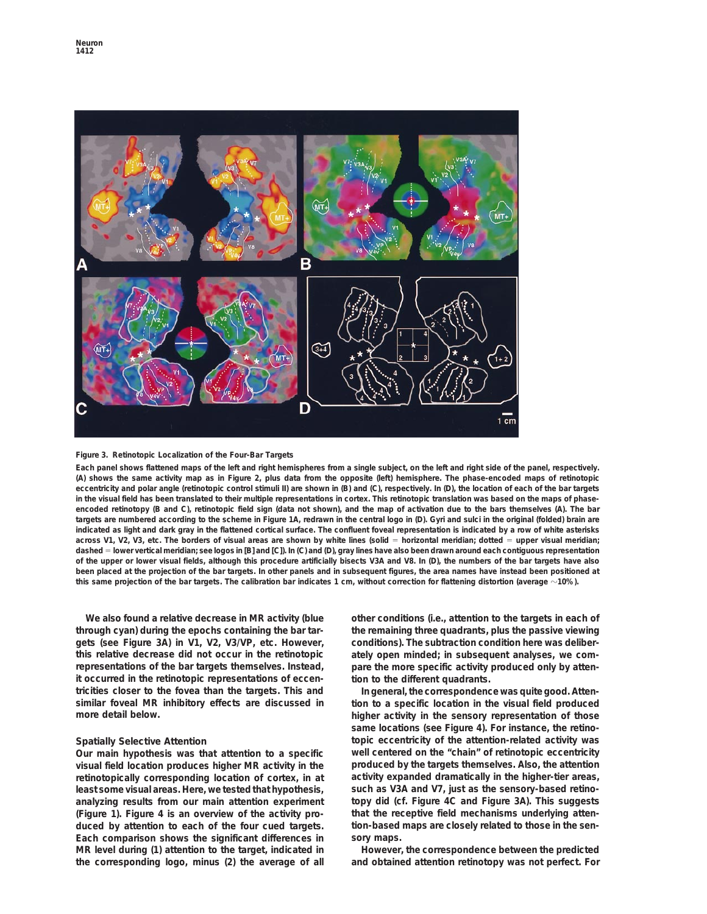

### **Figure 3. Retinotopic Localization of the Four-Bar Targets**

**Each panel shows flattened maps of the left and right hemispheres from a single subject, on the left and right side of the panel, respectively. (A) shows the same activity map as in Figure 2, plus data from the opposite (left) hemisphere. The phase-encoded maps of retinotopic eccentricity and polar angle (retinotopic control stimuli II) are shown in (B) and (C), respectively. In (D), the location of each of the bar targets in the visual field has been translated to their multiple representations in cortex. This retinotopic translation was based on the maps of phaseencoded retinotopy (B and C), retinotopic field sign (data not shown), and the map of activation due to the bars themselves (A). The bar targets are numbered according to the scheme in Figure 1A, redrawn in the central logo in (D). Gyri and sulci in the original (folded) brain are indicated as light and dark gray in the flattened cortical surface. The confluent foveal representation is indicated by a row of white asterisks** across V1, V2, V3, etc. The borders of visual areas are shown by white lines (solid = horizontal meridian; dotted = upper visual meridian; **dashed** 5 **lower vertical meridian; see logos in [B] and [C]). In (C) and (D), gray lines have also been drawn around each contiguous representation of the upper or lower visual fields, although this procedure artificially bisects V3A and V8. In (D), the numbers of the bar targets have also been placed at the projection of the bar targets. In other panels and in subsequent figures, the area names have instead been positioned at** this same projection of the bar targets. The calibration bar indicates 1 cm, without correction for flattening distortion (average ~10%).

We also found a relative decrease in MR activity (blue other conditions (i.e., attention to the targets in each of **it occurred in the retinotopic representations of eccen- tion to the different quadrants. tricities closer to the fovea than the targets. This and In general, the correspondence was quite good. Attensimilar foveal MR inhibitory effects are discussed in tion to a specific location in the visual field produced**

**visual field location produces higher MR activity in the produced by the targets themselves. Also, the attention retinotopically corresponding location of cortex, in at activity expanded dramatically in the higher-tier areas, least some visual areas. Here, we tested that hypothesis, such as V3A and V7, just as the sensory-based retinoanalyzing results from our main attention experiment topy did (cf. Figure 4C and Figure 3A). This suggests (Figure 1). Figure 4 is an overview of the activity pro- that the receptive field mechanisms underlying attenduced by attention to each of the four cued targets. tion-based maps are closely related to those in the sen-Each comparison shows the significant differences in sory maps. MR level during (1) attention to the target, indicated in However, the correspondence between the predicted**

**through cyan) during the epochs containing the bar tar- the remaining three quadrants, plus the passive viewing gets (see Figure 3A) in V1, V2, V3/VP, etc. However, conditions). The subtraction condition here was deliberthis relative decrease did not occur in the retinotopic ately open minded; in subsequent analyses, we comrepresentations of the bar targets themselves. Instead, pare the more specific activity produced only by atten-**

**more detail below. higher activity in the sensory representation of those same locations (see Figure 4). For instance, the retino-Spatially Selective Attention topic eccentricity of the attention-related activity was Our main hypothesis was that attention to a specific well centered on the "chain" of retinotopic eccentricity**

**the corresponding logo, minus (2) the average of all and obtained attention retinotopy was not perfect. For**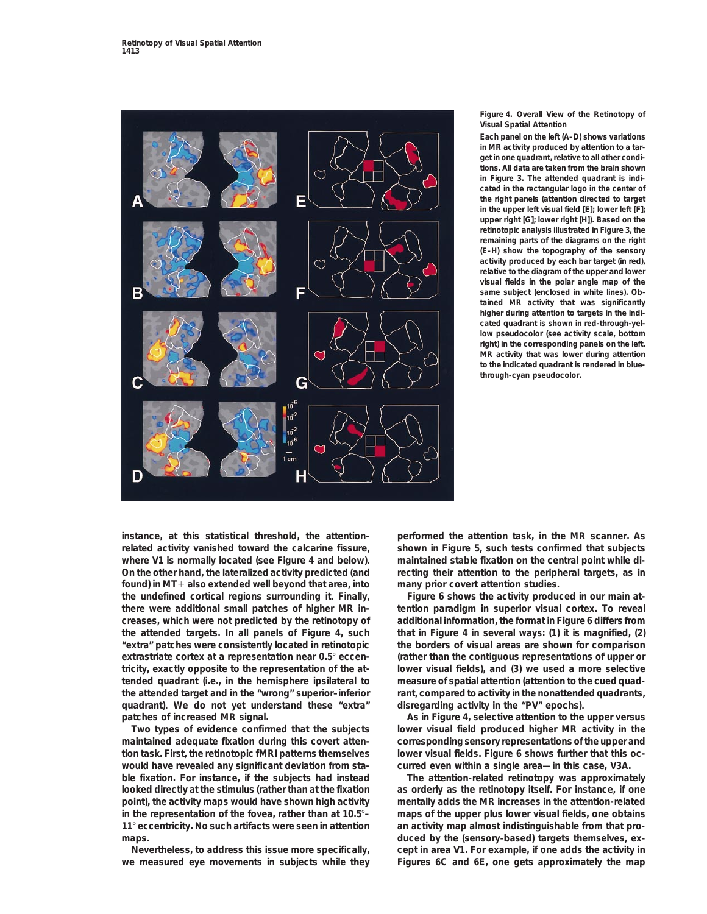

**Figure 4. Overall View of the Retinotopy of Visual Spatial Attention**

**Each panel on the left (A–D) shows variations in MR activity produced by attention to a target in one quadrant, relative to all other conditions. All data are taken from the brain shown in Figure 3. The attended quadrant is indicated in the rectangular logo in the center of the right panels (attention directed to target in the upper left visual field [E]; lower left [F]; upper right [G]; lower right [H]). Based on the retinotopic analysis illustrated in Figure 3, the remaining parts of the diagrams on the right (E–H) show the topography of the sensory activity produced by each bar target (in red), relative to the diagram of the upper and lower visual fields in the polar angle map of the same subject (enclosed in white lines). Obtained MR activity that was significantly higher during attention to targets in the indicated quadrant is shown in red-through-yellow pseudocolor (see activity scale, bottom right) in the corresponding panels on the left. MR activity that was lower during attention to the indicated quadrant is rendered in bluethrough-cyan pseudocolor.**

**related activity vanished toward the calcarine fissure, shown in Figure 5, such tests confirmed that subjects** where V1 is normally located (see Figure 4 and below). maintained stable fixation on the central point while di-**On the other hand, the lateralized activity predicted (and recting their attention to the peripheral targets, as in found) in MT**1 **also extended well beyond that area, into many prior covert attention studies. the undefined cortical regions surrounding it. Finally, Figure 6 shows the activity produced in our main atthere were additional small patches of higher MR in- tention paradigm in superior visual cortex. To reveal creases, which were not predicted by the retinotopy of additional information, the format in Figure 6 differs from the attended targets. In all panels of Figure 4, such that in Figure 4 in several ways: (1) it is magnified, (2) "extra" patches were consistently located in retinotopic the borders of visual areas are shown for comparison extrastriate cortex at a representation near 0.5**8 **eccen- (rather than the contiguous representations of upper or tricity, exactly opposite to the representation of the at- lower visual fields), and (3) we used a more selective tended quadrant (i.e., in the hemisphere ipsilateral to measure of spatial attention (attention to the cued quadthe attended target and in the "wrong" superior–inferior rant, compared to activity in the nonattended quadrants, quadrant). We do not yet understand these "extra" disregarding activity in the "PV" epochs).**

**maintained adequate fixation during this covert atten- corresponding sensory representations of the upper and** tion task. First, the retinotopic fMRI patterns themselves lower visual fields. Figure 6 shows further that this oc**would have revealed any significant deviation from sta- curred even within a single area—in this case, V3A. ble fixation. For instance, if the subjects had instead The attention-related retinotopy was approximately looked directly at the stimulus (rather than at the fixation as orderly as the retinotopy itself. For instance, if one point), the activity maps would have shown high activity mentally adds the MR increases in the attention-related in the representation of the fovea, rather than at 10.5**8**– maps of the upper plus lower visual fields, one obtains 11**8 **eccentricity. No such artifacts were seen in attention an activity map almost indistinguishable from that promaps. duced by the (sensory-based) targets themselves, ex-**

**we measured eye movements in subjects while they Figures 6C and 6E, one gets approximately the map**

**instance, at this statistical threshold, the attention- performed the attention task, in the MR scanner. As**

**patches of increased MR signal. As in Figure 4, selective attention to the upper versus Two types of evidence confirmed that the subjects lower visual field produced higher MR activity in the**

**Nevertheless, to address this issue more specifically, cept in area V1. For example, if one adds the activity in**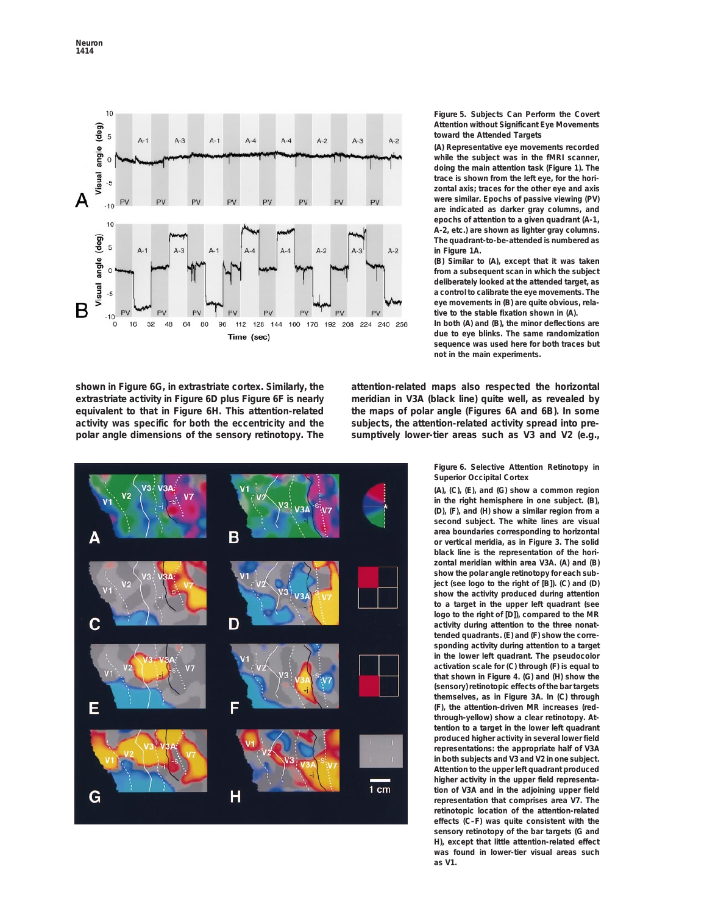

**Figure 5. Subjects Can Perform the Covert Attention without Significant Eye Movements toward the Attended Targets**

**(A) Representative eye movements recorded while the subject was in the fMRI scanner, doing the main attention task (Figure 1). The trace is shown from the left eye, for the horizontal axis; traces for the other eye and axis were similar. Epochs of passive viewing (PV) are indicated as darker gray columns, and epochs of attention to a given quadrant (A-1, A-2, etc.) are shown as lighter gray columns. The quadrant-to-be-attended is numbered as in Figure 1A.**

**(B) Similar to (A), except that it was taken from a subsequent scan in which the subject deliberately looked at the attended target, as a control to calibrate the eye movements. The eye movements in (B) are quite obvious, relative to the stable fixation shown in (A).**

**In both (A) and (B), the minor deflections are due to eye blinks. The same randomization sequence was used here for both traces but not in the main experiments.**

**extrastriate activity in Figure 6D plus Figure 6F is nearly meridian in V3A (black line) quite well, as revealed by equivalent to that in Figure 6H. This attention-related the maps of polar angle (Figures 6A and 6B). In some activity was specific for both the eccentricity and the subjects, the attention-related activity spread into prepolar angle dimensions of the sensory retinotopy. The sumptively lower-tier areas such as V3 and V2 (e.g.,**

**shown in Figure 6G, in extrastriate cortex. Similarly, the attention-related maps also respected the horizontal**



**Figure 6. Selective Attention Retinotopy in Superior Occipital Cortex**

**(A), (C), (E), and (G) show a common region in the right hemisphere in one subject. (B), (D), (F), and (H) show a similar region from a second subject. The white lines are visual area boundaries corresponding to horizontal or vertical meridia, as in Figure 3. The solid black line is the representation of the horizontal meridian within area V3A. (A) and (B) show the polar angle retinotopy for each subject (see logo to the right of [B]). (C) and (D) show the activity produced during attention to a target in the upper left quadrant (see logo to the right of [D]), compared to the MR activity during attention to the three nonattended quadrants. (E) and (F) show the corresponding activity during attention to a target in the lower left quadrant. The pseudocolor activation scale for (C) through (F) is equal to that shown in Figure 4. (G) and (H) show the (sensory) retinotopic effects of the bar targets themselves, as in Figure 3A. In (C) through (F), the attention-driven MR increases (redthrough-yellow) show a clear retinotopy. Attention to a target in the lower left quadrant produced higher activity in several lower field representations: the appropriate half of V3A in both subjects and V3 and V2 in one subject. Attention to the upper left quadrant produced higher activity in the upper field representation of V3A and in the adjoining upper field representation that comprises area V7. The retinotopic location of the attention-related effects (C–F) was quite consistent with the sensory retinotopy of the bar targets (G and H), except that little attention-related effect was found in lower-tier visual areas such as V1.**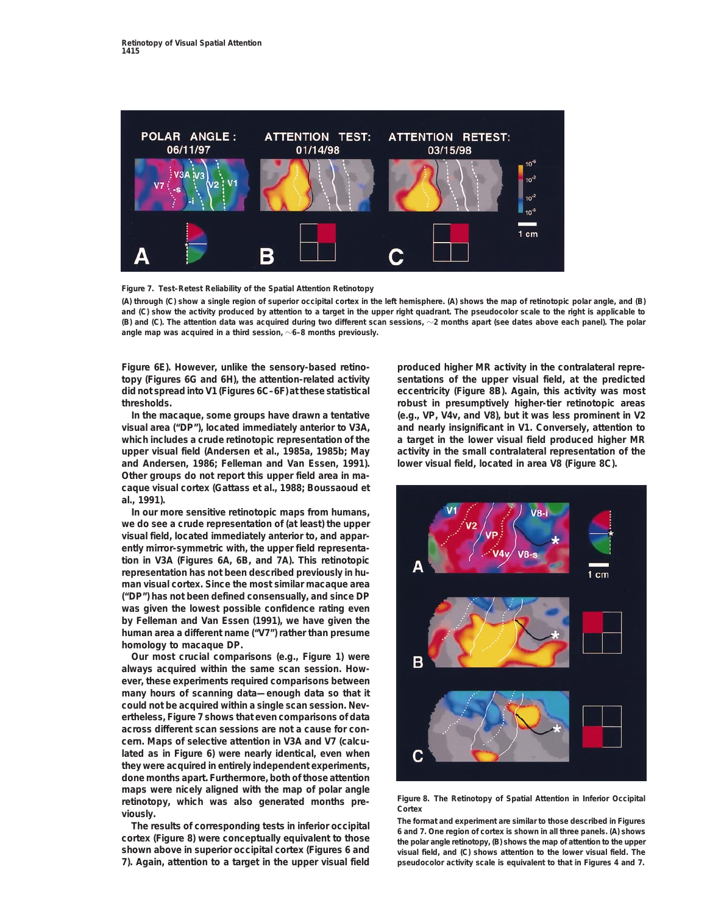

**Figure 7. Test–Retest Reliability of the Spatial Attention Retinotopy**

**(A) through (C) show a single region of superior occipital cortex in the left hemisphere. (A) shows the map of retinotopic polar angle, and (B) and (C) show the activity produced by attention to a target in the upper right quadrant. The pseudocolor scale to the right is applicable to** (B) and (C). The attention data was acquired during two different scan sessions,  $\sim$ 2 months apart (see dates above each panel). The polar angle map was acquired in a third session,  $\sim$  6–8 months previously.

**topy (Figures 6G and 6H), the attention-related activity sentations of the upper visual field, at the predicted did not spread into V1 (Figures 6C–6F) at these statistical eccentricity (Figure 8B). Again, this activity was most thresholds. robust in presumptively higher-tier retinotopic areas**

**visual area ("DP"), located immediately anterior to V3A, and nearly insignificant in V1. Conversely, attention to** which includes a crude retinotopic representation of the a target in the lower visual field produced higher MR **upper visual field (Andersen et al., 1985a, 1985b; May activity in the small contralateral representation of the and Andersen, 1986; Felleman and Van Essen, 1991). lower visual field, located in area V8 (Figure 8C). Other groups do not report this upper field area in macaque visual cortex (Gattass et al., 1988; Boussaoud et al., 1991).**

**In our more sensitive retinotopic maps from humans, we do see a crude representation of (at least) the upper visual field, located immediately anterior to, and apparently mirror-symmetric with, the upper field representation in V3A (Figures 6A, 6B, and 7A). This retinotopic representation has not been described previously in human visual cortex. Since the most similar macaque area ("DP") has not been defined consensually, and since DP was given the lowest possible confidence rating even by Felleman and Van Essen (1991), we have given the human area a different name ("V7") rather than presume homology to macaque DP.**

**Our most crucial comparisons (e.g., Figure 1) were always acquired within the same scan session. However, these experiments required comparisons between many hours of scanning data—enough data so that it could not be acquired within a single scan session. Nevertheless, Figure 7 shows that even comparisons of data across different scan sessions are not a cause for concern. Maps of selective attention in V3A and V7 (calculated as in Figure 6) were nearly identical, even when they were acquired in entirely independent experiments, done months apart. Furthermore, both of those attention** maps were nicely aligned with the map of polar angle<br>
retinotopy, which was also generated months pre-<br>
viously.<br>
The results of corresponding tests in inferior occipital<br>
cortex (Figure 8) were conceptually equivalent to

**Figure 6E). However, unlike the sensory-based retino- produced higher MR activity in the contralateral repre-In the macaque, some groups have drawn a tentative (e.g., VP, V4v, and V8), but it was less prominent in V2**



**shown above in superior occipital cortex (Figures 6 and visual field, and (C) shows attention to the lower visual field. The 7). Again, attention to a target in the upper visual field pseudocolor activity scale is equivalent to that in Figures 4 and 7.**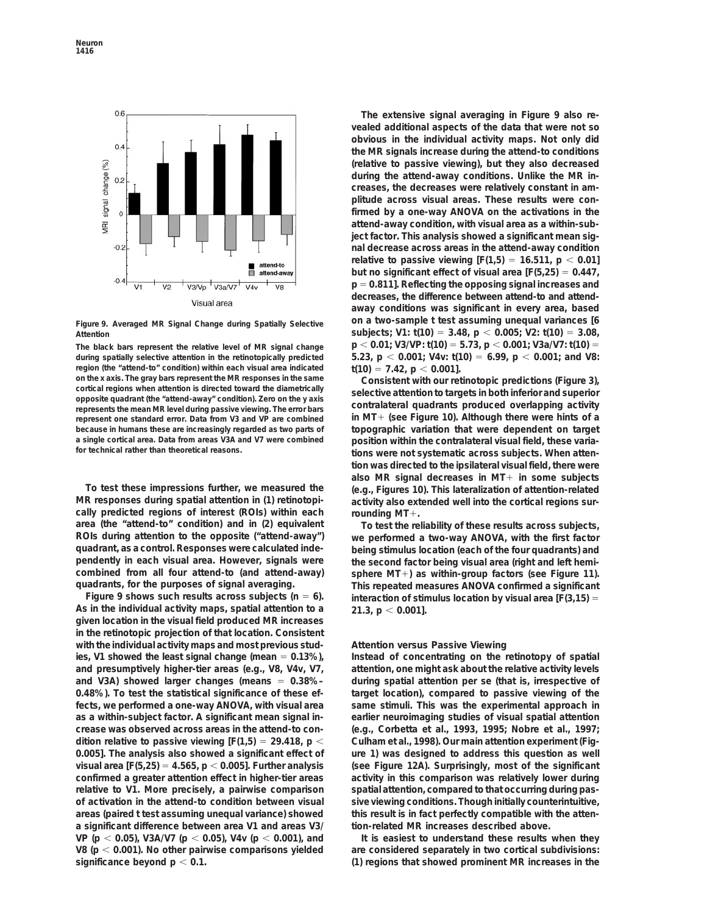

during spatially selective attention in the retinotopically predicted  $5.23$ ,  $p < 0.001$ ; V4v:  $t(10) = 6.99$ ,  $p < 0.001$ ; and V8: **region (the "attend-to" condition) within each visual area indicated**  $t(10) = 7.42$ ,  $p < 0.001$ .<br>
on the x axis. The gray bars represent the MR responses in the same on the x axis. The gray bars represent the MR responses in the same<br>
cortical regions when attention is directed toward the diametrically<br>
opposite quadrant (the "attention to targets in both inferior and superior<br>
represe represent one standard error. Data from V3 and VP are combined **because in humans these are increasingly regarded as two parts of topographic variation that were dependent on target a single cortical area. Data from areas V3A and V7 were combined position within the contralateral visual field, these varia-**

**cally predicted regions of interest (ROIs) within each rounding MT**1**. area (the "attend-to" condition) and in (2) equivalent To test the reliability of these results across subjects, ROIs during attention to the opposite ("attend-away") we performed a two-way ANOVA, with the first factor quadrant, as a control. Responses were calculated inde- being stimulus location (each of the four quadrants) and pendently in each visual area. However, signals were the second factor being visual area (right and left hemicombined from all four attend-to (and attend-away) sphere MT**1**) as within-group factors (see Figure 11).**

As in the individual activity maps, spatial attention to a  $21.3$ ,  $p < 0.001$ . **given location in the visual field produced MR increases in the retinotopic projection of that location. Consistent with the individual activity maps and most previous stud- Attention versus Passive Viewing ies, V1 showed the least signal change (mean** 5 **0.13%), Instead of concentrating on the retinotopy of spatial and presumptively higher-tier areas (e.g., V8, V4v, V7, attention, one might ask about the relative activity levels and V3A) showed larger changes (means** 5 **0.38%– during spatial attention per se (that is, irrespective of 0.48%). To test the statistical significance of these ef- target location), compared to passive viewing of the fects, we performed a one-way ANOVA, with visual area same stimuli. This was the experimental approach in as a within-subject factor. A significant mean signal in- earlier neuroimaging studies of visual spatial attention crease was observed across areas in the attend-to con- (e.g., Corbetta et al., 1993, 1995; Nobre et al., 1997;** dition relative to passive viewing  $[F(1,5) = 29.418, p <$  Culham et al., 1998). Our main attention experiment (Fig-**0.005]. The analysis also showed a significant effect of ure 1) was designed to address this question as well visual area [F(5,25)** 5 **4.565, p** , **0.005]. Further analysis (see Figure 12A). Surprisingly, most of the significant confirmed a greater attention effect in higher-tier areas activity in this comparison was relatively lower during relative to V1. More precisely, a pairwise comparison spatial attention, compared to that occurring during pasof activation in the attend-to condition between visual sive viewing conditions. Though initially counterintuitive, areas (paired t test assuming unequal variance) showed this result is in fact perfectly compatible with the attena significant difference between area V1 and areas V3/ tion-related MR increases described above. VP** ( $p$  < 0.05), V3A/V7 ( $p$  < 0.05), V4v ( $p$  < 0.001), and It is easiest to understand these results when they **V8 (p** , **0.001). No other pairwise comparisons yielded are considered separately in two cortical subdivisions:** significance beyond  $p < 0.1$ . (1) regions that showed prominent MR increases in the

**The extensive signal averaging in Figure 9 also revealed additional aspects of the data that were not so obvious in the individual activity maps. Not only did the MR signals increase during the attend-to conditions (relative to passive viewing), but they also decreased during the attend-away conditions. Unlike the MR increases, the decreases were relatively constant in amplitude across visual areas. These results were confirmed by a one-way ANOVA on the activations in the attend-away condition, with visual area as a within-subject factor. This analysis showed a significant mean signal decrease across areas in the attend-away condition relative to passive viewing**  $[F(1,5) = 16.511, p < 0.01]$ but no significant effect of visual area  $[F(5,25) = 0.447]$ **p** 5 **0.811]. Reflecting the opposing signal increases and decreases, the difference between attend-to and attendaway conditions was significant in every area, based** Figure 9. Averaged MR Signal Change during Spatially Selective **on a two-sample t test assuming unequal variances** [6] Attention **because the subjects; V1:** t(10) = 3.48, p < 0.005; V2: t(10) = 3.08, The black bars represent the relative level of MR signal change  $p < 0.01$ ; V3/VP:  $t(10) = 5.73$ ,  $p < 0.001$ ; V3a/V7:  $t(10) =$ 

tions were not systematic across subjects. When atten**tion was directed to the ipsilateral visual field, there were also MR signal decreases in MT**1 **in some subjects To test these impressions further, we measured the (e.g., Figures 10). This lateralization of attention-related** activity also extended well into the cortical regions sur-

**quadrants, for the purposes of signal averaging. This repeated measures ANOVA confirmed a significant** Figure 9 shows such results across subjects  $(n = 6)$ . **interaction of stimulus location by visual area** [F(3,15) =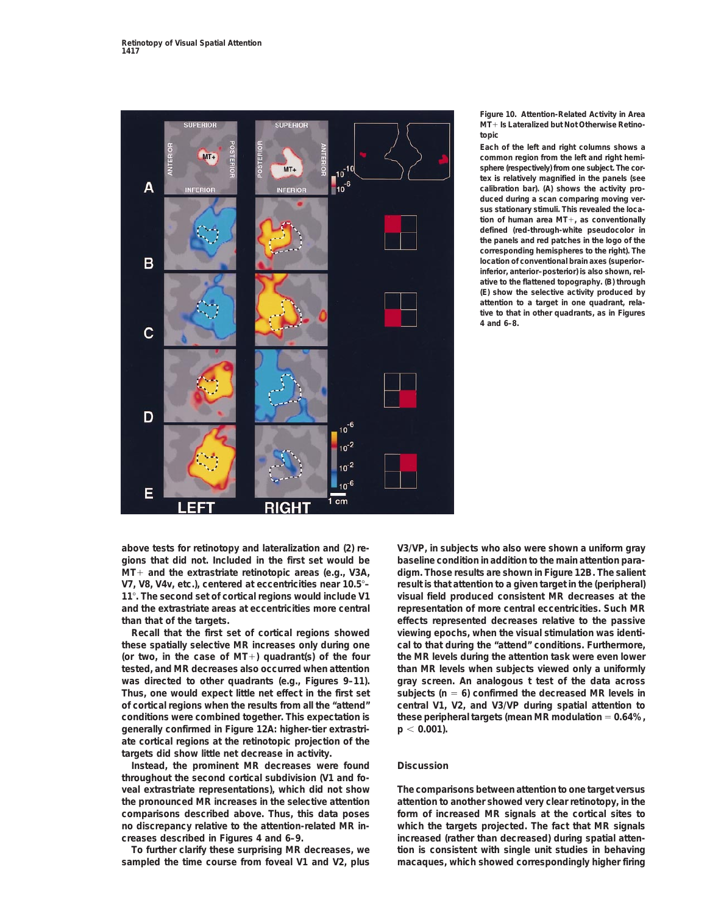

**Figure 10. Attention-Related Activity in Area** MT+ Is Lateralized but Not Otherwise Retino**topic**

**Each of the left and right columns shows a common region from the left and right hemisphere (respectively) from one subject. The cortex is relatively magnified in the panels (see calibration bar). (A) shows the activity produced during a scan comparing moving versus stationary stimuli. This revealed the loca**tion of human area MT<sup>+</sup>, as conventionally **defined (red-through-white pseudocolor in the panels and red patches in the logo of the corresponding hemispheres to the right). The location of conventional brain axes (superior– inferior, anterior–posterior) is also shown, relative to the flattened topography. (B) through (E) show the selective activity produced by attention to a target in one quadrant, relative to that in other quadrants, as in Figures 4 and 6–8.**

**gions that did not. Included in the first set would be baseline condition in addition to the main attention para-MT**1 **and the extrastriate retinotopic areas (e.g., V3A, digm. Those results are shown in Figure 12B. The salient V7, V8, V4v, etc.), centered at eccentricities near 10.5**8**– result is that attention to a given target in the (peripheral) 11**8**. The second set of cortical regions would include V1 visual field produced consistent MR decreases at the and the extrastriate areas at eccentricities more central representation of more central eccentricities. Such MR**

**these spatially selective MR increases only during one cal to that during the "attend" conditions. Furthermore, (or two, in the case of MT**1**) quadrant(s) of the four the MR levels during the attention task were even lower tested, and MR decreases also occurred when attention than MR levels when subjects viewed only a uniformly was directed to other quadrants (e.g., Figures 9–11). gray screen. An analogous t test of the data across Thus, one would expect little net effect in the first set subjects (n** 5 **6) confirmed the decreased MR levels in of cortical regions when the results from all the "attend" central V1, V2, and V3/VP during spatial attention to conditions were combined together. This expectation is these peripheral targets (mean MR modulation** 5 **0.64%, generally confirmed in Figure 12A: higher-tier extrastri-**  $p < 0.001$ ). **ate cortical regions at the retinotopic projection of the targets did show little net decrease in activity.**

**Instead, the prominent MR decreases were found Discussion throughout the second cortical subdivision (V1 and foveal extrastriate representations), which did not show The comparisons between attention to one target versus creases described in Figures 4 and 6–9. increased (rather than decreased) during spatial atten-**

**sampled the time course from foveal V1 and V2, plus macaques, which showed correspondingly higher firing**

**above tests for retinotopy and lateralization and (2) re- V3/VP, in subjects who also were shown a uniform gray than that of the targets. effects represented decreases relative to the passive Recall that the first set of cortical regions showed viewing epochs, when the visual stimulation was identi-**

**the pronounced MR increases in the selective attention attention to another showed very clear retinotopy, in the comparisons described above. Thus, this data poses form of increased MR signals at the cortical sites to no discrepancy relative to the attention-related MR in- which the targets projected. The fact that MR signals To further clarify these surprising MR decreases, we tion is consistent with single unit studies in behaving**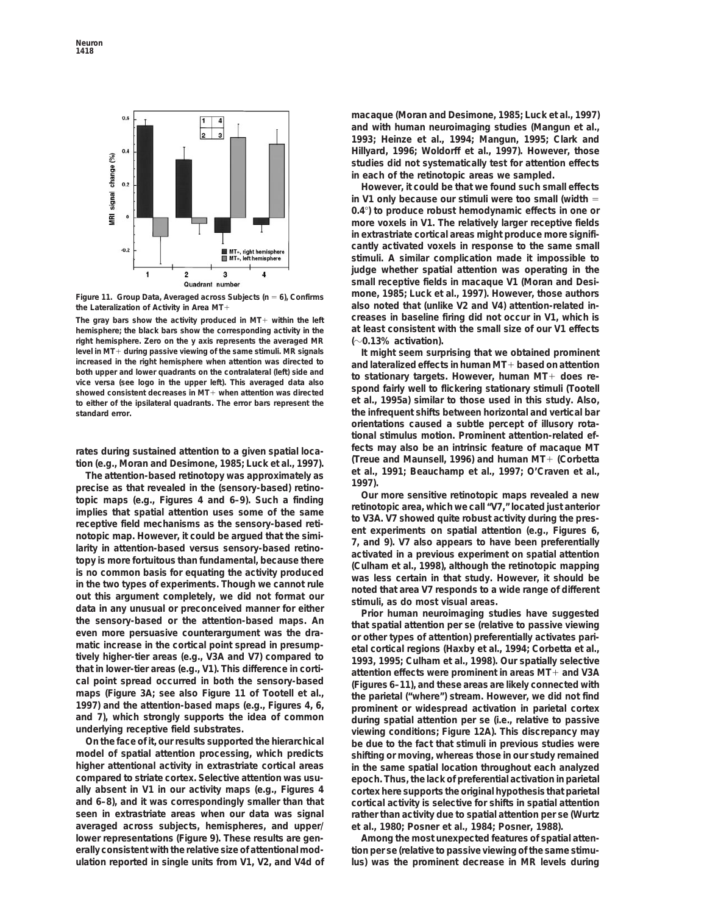

hemisphere; the black bars show the corresponding activity in the **right hemisphere. Zero on the y axis represents the averaged MR**  $\sim$  **(** $\sim$ **0.13% activation).**<br>I level in MT+ during passive viewing of the same stimuli. MR signals **the late of the stame stame level in MT**1 **during passive viewing of the same stimuli. MR signals It might seem surprising that we obtained prominent increased in the right hemisphere when attention was directed to and lateralized effects in human MT**1 **based on attention** both upper and lower quadrants on the contradateral (len) side and<br>vice versa (see logo in the upper left). This averaged data also<br>showed consistent decreases in MT+ when attention was directed spond fairly well to flicke **et al., 1995a) similar to those used in this study. Also, to either of the ipsilateral quadrants. The error bars represent the**

rates during sustained attention to a given spatial loca-<br>
fects may also be an intrinsic feature of macque MT<br>
tion (e.g., Moran and Desimone, 1985; Luck et al., 1997; (Treue and Maunsell, 1998) and human MT+ (Corbetta<br>
T

**model of spatial attention processing, which predicts shifting or moving, whereas those in our study remained higher attentional activity in extrastriate cortical areas in the same spatial location throughout each analyzed compared to striate cortex. Selective attention was usu- epoch. Thus, the lack of preferential activation in parietal ally absent in V1 in our activity maps (e.g., Figures 4 cortex here supports the original hypothesis that parietal and 6–8), and it was correspondingly smaller than that cortical activity is selective for shifts in spatial attention averaged across subjects, hemispheres, and upper/ et al., 1980; Posner et al., 1984; Posner, 1988). lower representations (Figure 9). These results are gen- Among the most unexpected features of spatial attenerally consistent with the relative size of attentional mod- tion per se (relative to passive viewing of the same stimuulation reported in single units from V1, V2, and V4d of lus) was the prominent decrease in MR levels during**

**macaque (Moran and Desimone, 1985; Luck et al., 1997) and with human neuroimaging studies (Mangun et al., 1993; Heinze et al., 1994; Mangun, 1995; Clark and Hillyard, 1996; Woldorff et al., 1997). However, those studies did not systematically test for attention effects in each of the retinotopic areas we sampled.**

**However, it could be that we found such small effects** in V1 only because our stimuli were too small (width = **0.4**8**) to produce robust hemodynamic effects in one or more voxels in V1. The relatively larger receptive fields in extrastriate cortical areas might produce more significantly activated voxels in response to the same small stimuli. A similar complication made it impossible to judge whether spatial attention was operating in the small receptive fields in macaque V1 (Moran and Desimone, 1985; Luck et al., 1997). However, those authors Figure 11. Group Data, Averaged across Subjects (n** <sup>5</sup> **6), Confirms** the Lateralization of Activity in Area MT<sup>+</sup> also noted that (unlike V2 and V4) attention-related in-The gray bars show the activity produced in MT+ within the left<br>hemisphere: the black bars show the corresponding activity in the at least consistent with the small size of our V1 effects

**standard error. the infrequent shifts between horizontal and vertical bar orientations caused a subtle percept of illusory rotational stimulus motion. Prominent attention-related ef-**

cal point spread occurred in both the sensory-based<br>
maps (Figure 3A; see also Figure 11 of Tootell et al.,<br>
1997) and the attention-based maps (e.g., Figures 4, 6,<br>
and 7), which strongly supports the idea of common<br>
unde **On the face of it, our results supported the hierarchical be due to the fact that stimuli in previous studies were seen in extrastriate areas when our data was signal rather than activity due to spatial attention per se (Wurtz**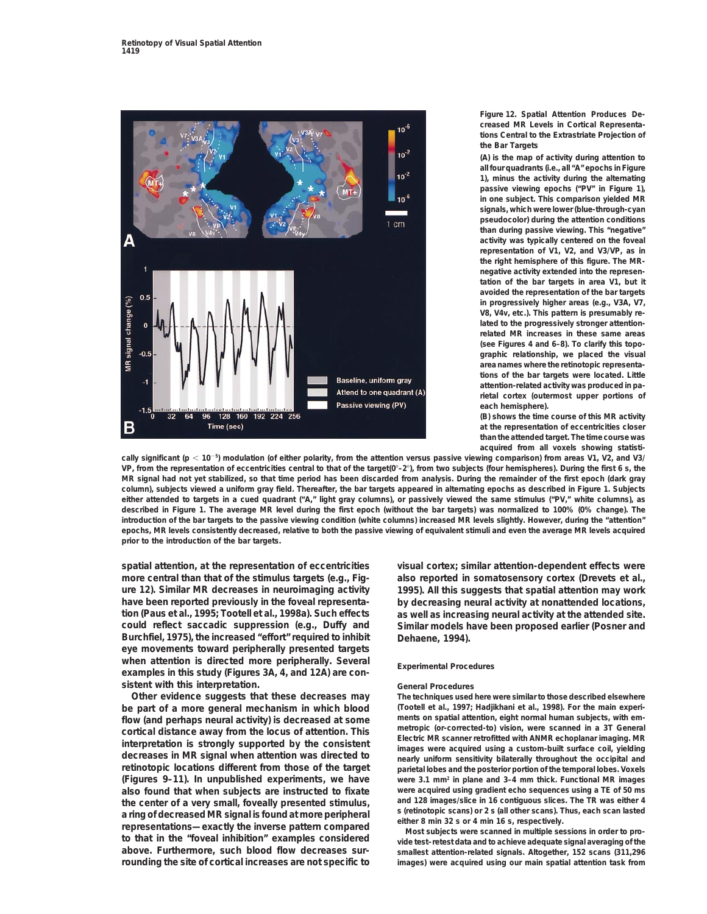

**Figure 12. Spatial Attention Produces Decreased MR Levels in Cortical Representations Central to the Extrastriate Projection of the Bar Targets**

**(A) is the map of activity during attention to all four quadrants (i.e., all "A" epochs in Figure 1), minus the activity during the alternating passive viewing epochs ("PV" in Figure 1), in one subject. This comparison yielded MR signals, which were lower (blue-through-cyan pseudocolor) during the attention conditions than during passive viewing. This "negative" activity was typically centered on the foveal representation of V1, V2, and V3/VP, as in the right hemisphere of this figure. The MRnegative activity extended into the representation of the bar targets in area V1, but it avoided the representation of the bar targets in progressively higher areas (e.g., V3A, V7, V8, V4v, etc.). This pattern is presumably related to the progressively stronger attentionrelated MR increases in these same areas (see Figures 4 and 6–8). To clarify this topographic relationship, we placed the visual area names where the retinotopic representations of the bar targets were located. Little attention-related activity was produced in parietal cortex (outermost upper portions of each hemisphere).**

**(B) shows the time course of this MR activity at the representation of eccentricities closer than the attended target. The time course was acquired from all voxels showing statisti-**

cally significant (p < 10<sup>-5</sup>) modulation (of either polarity, from the attention versus passive viewing comparison) from areas V1, V2, and V3/ VP, from the representation of eccentricities central to that of the target(0°-2°), from two subjects (four hemispheres). During the first 6 s, the **MR signal had not yet stabilized, so that time period has been discarded from analysis. During the remainder of the first epoch (dark gray column), subjects viewed a uniform gray field. Thereafter, the bar targets appeared in alternating epochs as described in Figure 1. Subjects either attended to targets in a cued quadrant ("A," light gray columns), or passively viewed the same stimulus ("PV," white columns), as described in Figure 1. The average MR level during the first epoch (without the bar targets) was normalized to 100% (0% change). The introduction of the bar targets to the passive viewing condition (white columns) increased MR levels slightly. However, during the "attention" epochs, MR levels consistently decreased, relative to both the passive viewing of equivalent stimuli and even the average MR levels acquired prior to the introduction of the bar targets.**

**more central than that of the stimulus targets (e.g., Fig- also reported in somatosensory cortex (Drevets et al., ure 12). Similar MR decreases in neuroimaging activity 1995). All this suggests that spatial attention may work have been reported previously in the foveal representa- by decreasing neural activity at nonattended locations, tion (Paus et al., 1995; Tootell et al., 1998a). Such effects as well as increasing neural activity at the attended site.** Burchfiel, 1975), the increased "effort" required to inhibit Dehaene, 1994). **eye movements toward peripherally presented targets when attention is directed more peripherally. Several Experimental Procedures examples in this study (Figures 3A, 4, and 12A) are consistent with this interpretation. General Procedures** 

**Other evidence suggests that these decreases may The techniques used here were similar to those described elsewhere retinotopic locations different from those of the target parietal lobes and the posterior portion of the temporal lobes. Voxels** the center of a very small, foveally presented stimulus,<br>and 128 mages/slice in 16 contiguous slices. The TR was either 4<br>a ring of decreased MR signal is found at more peripheral<br>representations—exactly the inverse patter **above. Furthermore, such blood flow decreases sur- smallest attention-related signals. Altogether, 152 scans (311,296**

**spatial attention, at the representation of eccentricities visual cortex; similar attention-dependent effects were** Similar models have been proposed earlier (Posner and

**be part of a more general mechanism in which blood (Tootell et al., 1997; Hadjikhani et al., 1998). For the main experi**flow (and perhaps neural activity) is decreased at some cortical distance away from the locus of attention. This cortical distance away from the locus of attention. This interpretation is strongly supported by the consiste **(Figures 9–11). In unpublished experiments, we have were 3.1 mm2 in plane and 3–4 mm thick. Functional MR images also found that when subjects are instructed to fixate were acquired using gradient echo sequences using a TE of 50 ms**

images) were acquired using our main spatial attention task from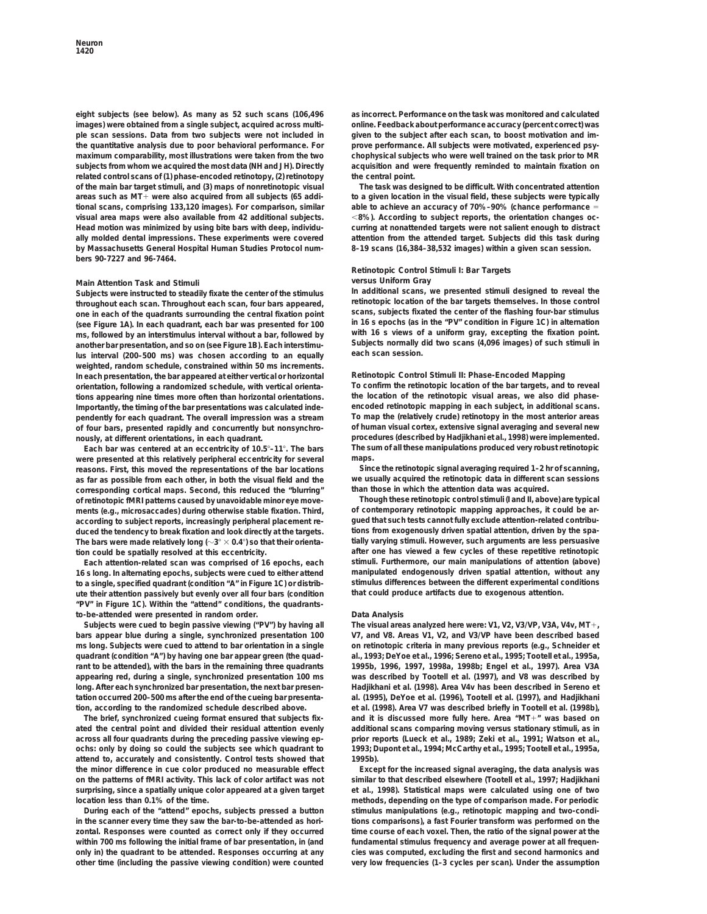**eight subjects (see below). As many as 52 such scans (106,496 as incorrect. Performance on the task was monitored and calculated images) were obtained from a single subject, acquired across multi- online. Feedback about performance accuracy (percent correct) was** ple scan sessions. Data from two subjects were not included in given to the subject after each scan, to boost motivation and im**the quantitative analysis due to poor behavioral performance. For prove performance. All subjects were motivated, experienced psymaximum comparability, most illustrations were taken from the two chophysical subjects who were well trained on the task prior to MR subjects from whom we acquired the most data (NH and JH). Directly acquisition and were frequently reminded to maintain fixation on related control scans of (1) phase-encoded retinotopy, (2) retinotopy the central point. of the main bar target stimuli, and (3) maps of nonretinotopic visual The task was designed to be difficult. With concentrated attention areas such as MT**1 **were also acquired from all subjects (65 addi- to a given location in the visual field, these subjects were typically tional scans, comprising 133,120 images). For comparison, similar able to achieve an accuracy of 70%–90% (chance performance** 5 visual area maps were also available from 42 additional subjects. <8%). According to subject reports, the orientation changes oc-**Head motion was minimized by using bite bars with deep, individu- curring at nonattended targets were not salient enough to distract ally molded dental impressions. These experiments were covered attention from the attended target. Subjects did this task during by Massachusetts General Hospital Human Studies Protocol num- 8–19 scans (16,384–38,532 images) within a given scan session. bers 90-7227 and 96-7464.**

**retinotopic location of the bar targets themselves. In those control throughout each scan. Throughout each scan, four bars appeared,** one in each of the quadrants surrounding the central fixation point **(see Figure 1A). In each quadrant, each bar was presented for 100 in 16 s epochs (as in the "PV" condition in Figure 1C) in alternation** ms, followed by an interstimulus interval without a bar, followed by **another bar presentation, and so on (see Figure 1B). Each interstimu- Subjects normally did two scans (4,096 images) of such stimuli in** lus interval (200-500 ms) was chosen according to an equally **weighted, random schedule, constrained within 50 ms increments. In each presentation, the bar appeared at either vertical or horizontal Retinotopic Control Stimuli II: Phase-Encoded Mapping**  $i$ orientation, following a randomized schedule, with vertical orienta**tions appearing nine times more often than horizontal orientations. the location of the retinotopic visual areas, we also did phaseencoded retinotopic mapping in each subject, in additional scans. Importantly, the timing of the bar presentations was calculated inde**pendently for each quadrant. The overall impression was a stream **of four bars, presented rapidly and concurrently but nonsynchro- of human visual cortex, extensive signal averaging and several new nously, at different orientations, in each quadrant. procedures (described by Hadjikhani et al., 1998) were implemented.**

**were presented at this relatively peripheral eccentricity for several maps. reasons. First, this moved the representations of the bar locations Since the retinotopic signal averaging required 1–2 hr of scanning,** as far as possible from each other, in both the visual field and the **corresponding cortical maps. Second, this reduced the "blurring" than those in which the attention data was acquired. of retinotopic fMRI patterns caused by unavoidable minor eye move- Though these retinotopic control stimuli (I and II, above) are typical** ments (e.g., microsaccades) during otherwise stable fixation. Third, of contemporary retinotopic mapping approaches, it could be ar-<br>according to subject reports, increasingly peripheral placement re- gued that such tests **according to subject reports, increasingly peripheral placement re- gued that such tests cannot fully exclude attention-related contribu**duced the tendency to break fixation and look directly at the targets. The bars were made relatively long ( $\sim$ 3°  $\times$  0.4°) so that their orienta-<br> **tially varying stimuli.** However, such arguments are less persuasive **tion could be spatially resolved at this eccentricity. after one has viewed a few cycles of these repetitive retinotopic**

**16 s long. In alternating epochs, subjects were cued to either attend manipulated endogenously driven spatial attention, without any** to a single, specified quadrant (condition "A" in Figure 1C) or distrib**ute their attention passively but evenly over all four bars (condition that could produce artifacts due to exogenous attention. "PV" in Figure 1C). Within the "attend" conditions, the quadrants-**

**to-be-attended were presented in random order. Data Analysis bars appear blue during a single, synchronized presentation 100 V7, and V8. Areas V1, V2, and V3/VP have been described based ms long. Subjects were cued to attend to bar orientation in a single on retinotopic criteria in many previous reports (e.g., Schneider et quadrant (condition "A") by having one bar appear green (the quad- al., 1993; DeYoe et al., 1996; Sereno et al., 1995; Tootell et al., 1995a, rant to be attended), with the bars in the remaining three quadrants 1995b, 1996, 1997, 1998a, 1998b; Engel et al., 1997). Area V3A appearing red, during a single, synchronized presentation 100 ms was described by Tootell et al. (1997), and V8 was described by long. After each synchronized bar presentation, the next bar presen- Hadjikhani et al. (1998). Area V4v has been described in Sereno et tation occurred 200–500 ms after the end of the cueing bar presenta- al. (1995), DeYoe et al. (1996), Tootell et al. (1997), and Hadjikhani tion, according to the randomized schedule described above. et al. (1998). Area V7 was described briefly in Tootell et al. (1998b),**

**ated the central point and divided their residual attention evenly additional scans comparing moving versus stationary stimuli, as in across all four quadrants during the preceding passive viewing ep- prior reports (Lueck et al., 1989; Zeki et al., 1991; Watson et al., ochs: only by doing so could the subjects see which quadrant to 1993; Dupont et al., 1994; McCarthy et al., 1995; Tootell et al., 1995a, attend to, accurately and consistently. Control tests showed that 1995b). the minor difference in cue color produced no measurable effect Except for the increased signal averaging, the data analysis was on the patterns of fMRI activity. This lack of color artifact was not similar to that described elsewhere (Tootell et al., 1997; Hadjikhani surprising, since a spatially unique color appeared at a given target et al., 1998). Statistical maps were calculated using one of two**

## **Retinotopic Control Stimuli I: Bar Targets**

**Main Attention Task and Stimuli versus Uniform Gray Subjects were instructed to steadily fixate the center of the stimulus In additional scans, we presented stimuli designed to reveal the**

**Each bar was centered at an eccentricity of 10.5**8**–11**8**. The bars The sum of all these manipulations produced very robust retinotopic**

**Each attention-related scan was comprised of 16 epochs, each stimuli. Furthermore, our main manipulations of attention (above)**

The visual areas analyzed here were: V1, V2, V3/VP, V3A, V4v, MT+, **The brief, synchronized cueing format ensured that subjects fix- and it is discussed more fully here. Area "MT**1**" was based on**

**location less than 0.1% of the time. methods, depending on the type of comparison made. For periodic** stimulus manipulations (e.g., retinotopic mapping and two-condi**in the scanner every time they saw the bar-to-be-attended as hori- tions comparisons), a fast Fourier transform was performed on the zontal. Responses were counted as correct only if they occurred time course of each voxel. Then, the ratio of the signal power at the** within 700 ms following the initial frame of bar presentation, in (and fundamental stimulus frequency and average power at all frequen**only in) the quadrant to be attended. Responses occurring at any cies was computed, excluding the first and second harmonics and other time (including the passive viewing condition) were counted very low frequencies (1–3 cycles per scan). Under the assumption**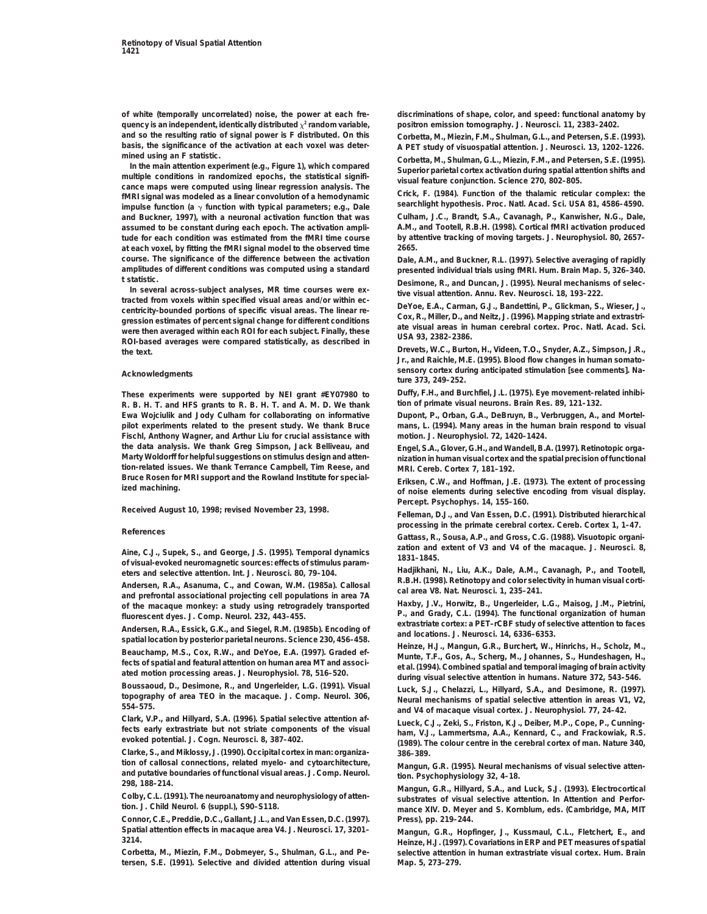**of white (temporally uncorrelated) noise, the power at each fre- discriminations of shape, color, and speed: functional anatomy by quency is an independent, identically distributed**  $\chi^2$  random variable, positron emission tomography. J. Neurosci. 11, 2383-2402. **and so the resulting ratio of signal power is F distributed. On this Corbetta, M., Miezin, F.M., Shulman, G.L., and Petersen, S.E. (1993). basis, the significance of the activation at each voxel was deter- A PET study of visuospatial attention. J. Neurosci.** *13***, 1202–1226.**

mined using an F statistic.<br>
In the main attention experiment (e.g., Figure 1), which compared<br>
In the main attention experiment (e.g., Figure 1), which compared<br>
cance maps were computed using linear regression analysis. **and Buckner, 1997), with a neuronal activation function that was Culham, J.C., Brandt, S.A., Cavanagh, P., Kanwisher, N.G., Dale,** assumed to be constant during each epoch. The activation ampli**tude for each condition was estimated from the fMRI time course by attentive tracking of moving targets. J. Neurophysiol.** *80***, 2657– at each voxel, by fitting the fMRI signal model to the observed time 2665. course. The significance of the difference between the activation Dale, A.M., and Buckner, R.L. (1997). Selective averaging of rapidly amplitudes of different conditions was computed using a standard presented individual trials using fMRI. Hum. Brain Map.** *5***, 326–340.**

t statistic.<br>
In several across-subject analyses, MR time courses were ex-<br>
tracted from voxels within specified visual areas and/or within ec-<br>
tracted from voxels within specified visual areas and/or within ec-<br>
a vertex Contracted from voxels within specified visual areas and/or within economic DeYoe, E.A., Carman, G.J., Bandettini, P., Glickman, S., Wieser, J., Contraction of specific visual areas. The linear re-<br>
contrictivity-bounded p **Drevets, W.C., Burton, H., Videen, T.O., Snyder, A.Z., Simpson, J.R., the text.**

**R. B. H. T. and HFS grants to R. B. H. T. and A. M. D. We thank Ewa Wojciulik and Jody Culham for collaborating on informative Dupont, P., Orban, G.A., DeBruyn, B., Verbruggen, A., and Mortelpilot experiments related to the present study. We thank Bruce mans, L. (1994). Many areas in the human brain respond to visual Fischl, Anthony Wagner, and Arthur Liu for crucial assistance with motion. J. Neurophysiol.** *72***, 1420–1424. the data analysis. We thank Greg Simpson, Jack Belliveau, and Engel, S.A., Glover, G.H., and Wandell, B.A. (1997). Retinotopic orgation-related issues. We thank Terrance Campbell, Tim Reese, and MRI. Cereb. Cortex** *7***, 181–192.**

Aine, C.J., Supek, S., and George, J.S. (1995). Temporal dynamics<br>of visual-evoked neuromagnetic sources: effects of stimulus param-<br>aters and selective attention. Int. J. Neurosci. 80, 79–104<br>Hadjikhani, N., Liu, A.K., Da

Andersen, R.A., Asanuma, C., and Cowan, W.M. (1985a). Callosal<br>
and prefrontal associational projecting cell populations in area 7A<br>
of the macaque monkey: a study using retrogradely transported<br>
of the macaque monkey: a s

Andersen, R.A., Essick, G.K., and Siegel, R.M. (1985b). Encoding of and locations. J. Neurosci. 14, 6336-6353.<br>spatial location by posterior parietal neurons. Science 230, 456-458.<br>Heinze, H.J., Mangun, G.R., Burchert, W.,

**Clarke, S., and Miklossy, J. (1990). Occipital cortex in man: organiza- 386–389.** tion of callosal connections, related myelo- and cytoarchitecture,<br>and putative boundaries of functional visual areas. J. Comp. Neurol.<br>298, 188–214.

**Connor, C.E., Preddie, D.C., Gallant, J.L., and Van Essen, D.C. (1997). Press), pp. 219–244. Spatial attention effects in macaque area V4. J. Neurosci.** *17***, 3201– Mangun, G.R., Hopfinger, J., Kussmaul, C.L., Fletchert, E., and**

**tersen, S.E. (1991). Selective and divided attention during visual Map.** *5***, 273–279.**

**Jr., and Raichle, M.E. (1995). Blood flow changes in human somatosensory cortex during anticipated stimulation [see comments]. Na- Acknowledgments ture** *<sup>373</sup>***, 249–252.**

**These experiments were supported by NEI grant #EY07980 to Duffy, F.H., and Burchfiel, J.L. (1975). Eye movement–related inhibi-**

**Marty Woldorff for helpful suggestions on stimulus design and atten- nization in human visual cortex and the spatial precision of functional**

Bruce Rosen for MRI support and the Rowland Institute for special-<br>ized machining. In the extent of processing<br>of noise elements during selective encoding from visual display. **Percept. Psychophys.** *14***, 155–160.**

**Received August 10, 1998; revised November 23, 1998. Felleman, D.J., and Van Essen, D.C. (1991). Distributed hierarchical processing in the primate cerebral cortex. Cereb. Cortex** *1***, 1–47.**

**References Gattass, R., Sousa, A.P., and Gross, C.G. (1988). Visuotopic organi-**

**Hadjikhani, N., Liu, A.K., Dale, A.M., Cavanagh, P., and Tootell, eters and selective attention. Int. J. Neurosci.** *80***, 79–104.**

Beauchamp, M.S., Cox, R.W., and DeYoe, E.A. (1997). Graded effects of spatial and featural attention on human area MT and associated motion processing areas. J. Neurophysiol. 78, 516–520.<br>ated motion processing areas. J. N

Boussaoud, D., Desimone, R., and Ungerielder, L.G. (1991). Visual<br>topography of area TEO in the macaque. J. Comp. Neurol. 306,<br>554–575.<br>Clark, V.P., and Hillyard, S.A. (1996). Spatial selective attention af-<br>Clark, V.P., a

Ciark, v.r., and Hillyard, S.A. (1990). Spatial selective attention ar-<br>fects early extrastriate but not striate components of the visual ham, V.J., Lammertsma, A.A., Kennard, C., and Frackowiak, R.S.<br>evoked potential. J.

Mangun, G.R., Hillyard, S.A., and Luck, S.J. (1993). Electrocortical<br>Colby, C.L. (1991). The neuroanatomy and neurophysiology of atten-<br>tion. J. Child Neurol. 6 (suppl.), S90–S118.<br>mance XIV. D. Meyer and S. Kornblum, eds. **tion. J. Child Neurol.** *6* **(suppl.), S90–S118. mance XIV. D. Meyer and S. Kornblum, eds. (Cambridge, MA, MIT**

**3214. Heinze, H.J. (1997). Covariations in ERP and PET measures of spatial Corbetta, M., Miezin, F.M., Dobmeyer, S., Shulman, G.L., and Pe- selective attention in human extrastriate visual cortex. Hum. Brain**